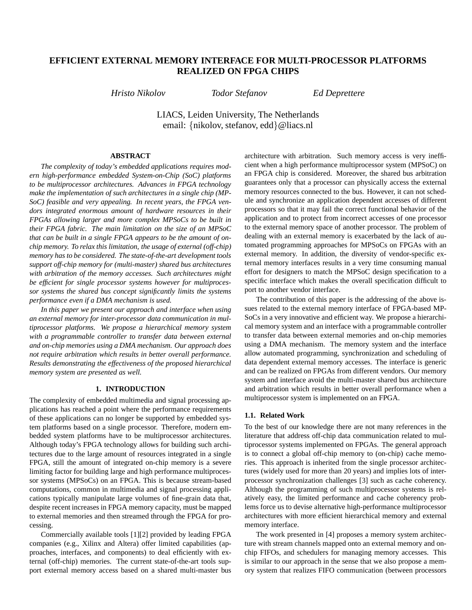# **EFFICIENT EXTERNAL MEMORY INTERFACE FOR MULTI-PROCESSOR PLATFORMS REALIZED ON FPGA CHIPS**

*Hristo Nikolov Todor Stefanov Ed Deprettere*

LIACS, Leiden University, The Netherlands email: {nikolov, stefanov, edd}@liacs.nl

# **ABSTRACT**

*The complexity of today's embedded applications requires modern high-performance embedded System-on-Chip (SoC) platforms to be multiprocessor architectures. Advances in FPGA technology make the implementation of such architectures in a single chip (MP-SoC) feasible and very appealing. In recent years, the FPGA vendors integrated enormous amount of hardware resources in their FPGAs allowing larger and more complex MPSoCs to be built in their FPGA fabric. The main limitation on the size of an MPSoC that can be built in a single FPGA appears to be the amount of onchip memory. To relax this limitation, the usage of external (off-chip) memory has to be considered. The state-of-the-art development tools support off-chip memory for (multi-master) shared bus architectures with arbitration of the memory accesses. Such architectures might be efficient for single processor systems however for multiprocessor systems the shared bus concept significantly limits the systems performance even if a DMA mechanism is used.*

*In this paper we present our approach and interface when using an external memory for inter-processor data communication in multiprocessor platforms. We propose a hierarchical memory system with a programmable controller to transfer data between external and on-chip memories using a DMA mechanism. Our approach does not require arbitration which results in better overall performance. Results demonstrating the effectiveness of the proposed hierarchical memory system are presented as well.*

## **1. INTRODUCTION**

The complexity of embedded multimedia and signal processing applications has reached a point where the performance requirements of these applications can no longer be supported by embedded system platforms based on a single processor. Therefore, modern embedded system platforms have to be multiprocessor architectures. Although today's FPGA technology allows for building such architectures due to the large amount of resources integrated in a single FPGA, still the amount of integrated on-chip memory is a severe limiting factor for building large and high performance multiprocessor systems (MPSoCs) on an FPGA. This is because stream-based computations, common in multimedia and signal processing applications typically manipulate large volumes of fine-grain data that, despite recent increases in FPGA memory capacity, must be mapped to external memories and then streamed through the FPGA for processing.

Commercially available tools [1][2] provided by leading FPGA companies (e.g., Xilinx and Altera) offer limited capabilities (approaches, interfaces, and components) to deal efficiently with external (off-chip) memories. The current state-of-the-art tools support external memory access based on a shared multi-master bus

architecture with arbitration. Such memory access is very inefficient when a high performance multiprocessor system (MPSoC) on an FPGA chip is considered. Moreover, the shared bus arbitration guarantees only that a processor can physically access the external memory resources connected to the bus. However, it can not schedule and synchronize an application dependent accesses of different processors so that it may fail the correct functional behavior of the application and to protect from incorrect accesses of one processor to the external memory space of another processor. The problem of dealing with an external memory is exacerbated by the lack of automated programming approaches for MPSoCs on FPGAs with an external memory. In addition, the diversity of vendor-specific external memory interfaces results in a very time consuming manual effort for designers to match the MPSoC design specification to a specific interface which makes the overall specification difficult to port to another vendor interface.

The contribution of this paper is the addressing of the above issues related to the external memory interface of FPGA-based MP-SoCs in a very innovative and efficient way. We propose a hierarchical memory system and an interface with a programmable controller to transfer data between external memories and on-chip memories using a DMA mechanism. The memory system and the interface allow automated programming, synchronization and scheduling of data dependent external memory accesses. The interface is generic and can be realized on FPGAs from different vendors. Our memory system and interface avoid the multi-master shared bus architecture and arbitration which results in better overall performance when a multiprocessor system is implemented on an FPGA.

## **1.1. Related Work**

To the best of our knowledge there are not many references in the literature that address off-chip data communication related to multiprocessor systems implemented on FPGAs. The general approach is to connect a global off-chip memory to (on-chip) cache memories. This approach is inherited from the single processor architectures (widely used for more than 20 years) and implies lots of interprocessor synchronization challenges [3] such as cache coherency. Although the programming of such multiprocessor systems is relatively easy, the limited performance and cache coherency problems force us to devise alternative high-performance multiprocessor architectures with more efficient hierarchical memory and external memory interface.

The work presented in [4] proposes a memory system architecture with stream channels mapped onto an external memory and onchip FIFOs, and schedulers for managing memory accesses. This is similar to our approach in the sense that we also propose a memory system that realizes FIFO communication (between processors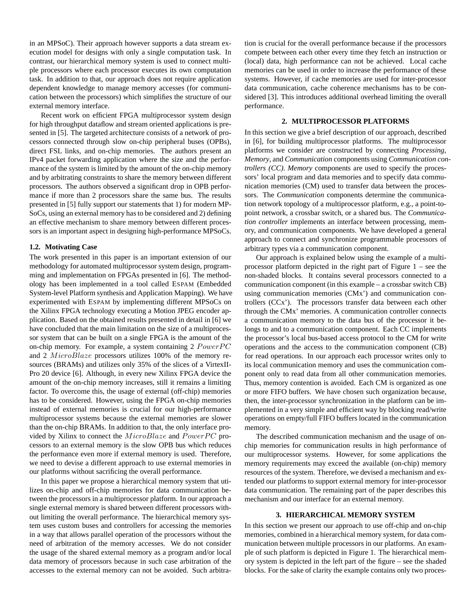in an MPSoC). Their approach however supports a data stream execution model for designs with only a single computation task. In contrast, our hierarchical memory system is used to connect multiple processors where each processor executes its own computation task. In addition to that, our approach does not require application dependent knowledge to manage memory accesses (for communication between the processors) which simplifies the structure of our external memory interface.

Recent work on efficient FPGA multiprocessor system design for high throughput dataflow and stream oriented applications is presented in [5]. The targeted architecture consists of a network of processors connected through slow on-chip peripheral buses (OPBs), direct FSL links, and on-chip memories. The authors present an IPv4 packet forwarding application where the size and the performance of the system is limited by the amount of the on-chip memory and by arbitrating constraints to share the memory between different processors. The authors observed a significant drop in OPB performance if more than 2 processors share the same bus. The results presented in [5] fully support our statements that 1) for modern MP-SoCs, using an external memory has to be considered and 2) defining an effective mechanism to share memory between different processors is an important aspect in designing high-performance MPSoCs.

## **1.2. Motivating Case**

The work presented in this paper is an important extension of our methodology for automated multiprocessor system design, programming and implementation on FPGAs presented in [6]. The methodology has been implemented in a tool called ESPAM (Embedded System-level Platform synthesis and Application Mapping). We have experimented with ESPAM by implementing different MPSoCs on the Xilinx FPGA technology executing a Motion JPEG encoder application. Based on the obtained results presented in detail in [6] we have concluded that the main limitation on the size of a multiprocessor system that can be built on a single FPGA is the amount of the on-chip memory. For example, a system containing  $2 \, PowerPC$ and 2 MicroBlaze processors utilizes 100% of the memory resources (BRAMs) and utilizes only 35% of the slices of a VirtexII-Pro 20 device [6]. Although, in every new Xilinx FPGA device the amount of the on-chip memory increases, still it remains a limiting factor. To overcome this, the usage of external (off-chip) memories has to be considered. However, using the FPGA on-chip memories instead of external memories is crucial for our high-performance multiprocessor systems because the external memories are slower than the on-chip BRAMs. In addition to that, the only interface provided by Xilinx to connect the MicroBlaze and PowerPC processors to an external memory is the slow OPB bus which reduces the performance even more if external memory is used. Therefore, we need to devise a different approach to use external memories in our platforms without sacrificing the overall performance.

In this paper we propose a hierarchical memory system that utilizes on-chip and off-chip memories for data communication between the processors in a multiprocessor platform. In our approach a single external memory is shared between different processors without limiting the overall performance. The hierarchical memory system uses custom buses and controllers for accessing the memories in a way that allows parallel operation of the processors without the need of arbitration of the memory accesses. We do not consider the usage of the shared external memory as a program and/or local data memory of processors because in such case arbitration of the accesses to the external memory can not be avoided. Such arbitra-

tion is crucial for the overall performance because if the processors compete between each other every time they fetch an instruction or (local) data, high performance can not be achieved. Local cache memories can be used in order to increase the performance of these systems. However, if cache memories are used for inter-processor data communication, cache coherence mechanisms has to be considered [3]. This introduces additional overhead limiting the overall performance.

## **2. MULTIPROCESSOR PLATFORMS**

In this section we give a brief description of our approach, described in [6], for building multiprocessor platforms. The multiprocessor platforms we consider are constructed by connecting *Processing*, *Memory*, and *Communication* components using *Communication controllers (CC)*. *Memory* components are used to specify the processors' local program and data memories and to specify data communication memories (CM) used to transfer data between the processors. The *Communication* components determine the communication network topology of a multiprocessor platform, e.g., a point-topoint network, a crossbar switch, or a shared bus. The *Communication controller* implements an interface between processing, memory, and communication components. We have developed a general approach to connect and synchronize programmable processors of arbitrary types via a communication component.

Our approach is explained below using the example of a multiprocessor platform depicted in the right part of Figure 1 – see the non-shaded blocks. It contains several processors connected to a communication component (in this example – a crossbar switch CB) using communication memories (CMx') and communication controllers (CCx'). The processors transfer data between each other through the CMx' memories. A communication controller connects a communication memory to the data bus of the processor it belongs to and to a communication component. Each CC implements the processor's local bus-based access protocol to the CM for write operations and the access to the communication component (CB) for read operations. In our approach each processor writes only to its local communication memory and uses the communication component only to read data from all other communication memories. Thus, memory contention is avoided. Each CM is organized as one or more FIFO buffers. We have chosen such organization because, then, the inter-processor synchronization in the platform can be implemented in a very simple and efficient way by blocking read/write operations on empty/full FIFO buffers located in the communication memory.

The described communication mechanism and the usage of onchip memories for communication results in high performance of our multiprocessor systems. However, for some applications the memory requirements may exceed the available (on-chip) memory resources of the system. Therefore, we devised a mechanism and extended our platforms to support external memory for inter-processor data communication. The remaining part of the paper describes this mechanism and our interface for an external memory.

## **3. HIERARCHICAL MEMORY SYSTEM**

In this section we present our approach to use off-chip and on-chip memories, combined in a hierarchical memory system, for data communication between multiple processors in our platforms. An example of such platform is depicted in Figure 1. The hierarchical memory system is depicted in the left part of the figure – see the shaded blocks. For the sake of clarity the example contains only two proces-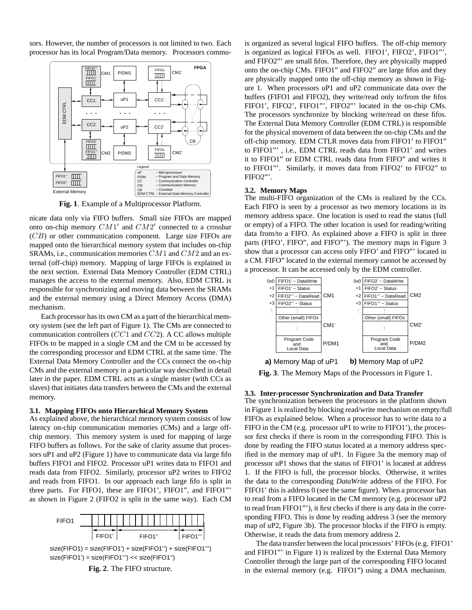sors. However, the number of processors is not limited to two. Each processor has its local Program/Data memory. Processors commu-



**Fig. 1**. Example of a Multiprocessor Platform.

nicate data only via FIFO buffers. Small size FIFOs are mapped onto on-chip memory  $CM1'$  and  $CM2'$  connected to a crossbar (CB) or other communication component. Large size FIFOs are mapped onto the hierarchical memory system that includes on-chip SRAMs, i.e., communication memories  $CM1$  and  $CM2$  and an external (off-chip) memory. Mapping of large FIFOs is explained in the next section. External Data Memory Controller (EDM CTRL) manages the access to the external memory. Also, EDM CTRL is responsible for synchronizing and moving data between the SRAMs and the external memory using a Direct Memory Access (DMA) mechanism.

Each processor has its own CM as a part of the hierarchical memory system (see the left part of Figure 1). The CMs are connected to communication controllers (CC1 and CC2). A CC allows multiple FIFOs to be mapped in a single CM and the CM to be accessed by the corresponding processor and EDM CTRL at the same time. The External Data Memory Controller and the CCs connect the on-chip CMs and the external memory in a particular way described in detail later in the paper. EDM CTRL acts as a single master (with CCs as slaves) that initiates data transfers between the CMs and the external memory.

## **3.1. Mapping FIFOs onto Hierarchical Memory System**

As explained above, the hierarchical memory system consists of low latency on-chip communication memories (CMs) and a large offchip memory. This memory system is used for mapping of large FIFO buffers as follows. For the sake of clarity assume that processors uP1 and uP2 (Figure 1) have to communicate data via large fifo buffers FIFO1 and FIFO2. Processor uP1 writes data to FIFO1 and reads data from FIFO2. Similarly, processor uP2 writes to FIFO2 and reads from FIFO1. In our approach each large fifo is split in three parts. For FIFO1, these are FIFO1', FIFO1", and FIFO1"' as shown in Figure 2 (FIFO2 is split in the same way). Each CM



size(FIFO1') = size(FIFO1''') << size(FIFO1'')

```
Fig. 2. The FIFO structure.
```
is organized as several logical FIFO buffers. The off-chip memory is organized as logical FIFOs as well. FIFO1', FIFO2', FIFO1"', and FIFO2"' are small fifos. Therefore, they are physically mapped onto the on-chip CMs. FIFO1" and FIFO2" are large fifos and they are physically mapped onto the off-chip memory as shown in Figure 1. When processors uP1 and uP2 communicate data over the buffers (FIFO1 and FIFO2), they write/read only to/from the fifos FIFO1', FIFO2', FIFO1"', FIFO2"' located in the on-chip CMs. The processors synchronize by blocking write/read on these fifos. The External Data Memory Controller (EDM CTRL) is responsible for the physical movement of data between the on-chip CMs and the off-chip memory. EDM CTLR moves data from FIFO1' to FIFO1" to FIFO1"' , i.e., EDM CTRL reads data from FIFO1' and writes it to FIFO1" or EDM CTRL reads data from FIFO" and writes it to FIFO1"'. Similarly, it moves data from FIFO2' to FIFO2" to FIFO2"'.

#### **3.2. Memory Maps**

The multi-FIFO organization of the CMs is realized by the CCs. Each FIFO is seen by a processor as two memory locations in its memory address space. One location is used to read the status (full or empty) of a FIFO. The other location is used for reading/writing data from/to a FIFO. As explained above a FIFO is split in three parts (FIFO', FIFO", and FIFO"'). The memory maps in Figure 3 show that a processor can access only FIFO' and FIFO"' located in a CM. FIFO" located in the external memory cannot be accessed by a processor. It can be accessed only by the EDM controller.



**Fig. 3**. The Memory Maps of the Processors in Figure 1.

# **3.3. Inter-processor Synchronization and Data Transfer**

The synchronization between the processors in the platform shown in Figure 1 is realized by blocking read/write mechanism on empty/full FIFOs as explained below. When a processor has to write data to a FIFO in the CM (e.g. processor uP1 to write to FIFO1'), the processor first checks if there is room in the corresponding FIFO. This is done by reading the FIFO status located at a memory address specified in the memory map of uP1. In Figure 3a the memory map of processor uP1 shows that the status of FIFO1' is located at address 1. If the FIFO is full, the processor blocks. Otherwise, it writes the data to the corresponding *DataWrite* address of the FIFO. For FIFO1' this is address 0 (see the same figure). When a processor has to read from a FIFO located in the CM memory (e.g. processor uP2 to read from FIFO1"'), it first checks if there is any data in the corresponding FIFO. This is done by reading address 3 (see the memory map of uP2, Figure 3b). The processor blocks if the FIFO is empty. Otherwise, it reads the data from memory address 2.

The data transfer between the local processors' FIFOs(e.g. FIFO1' and FIFO1"' in Figure 1) is realized by the External Data Memory Controller through the large part of the corresponding FIFO located in the external memory (e.g. FIFO1") using a DMA mechanism.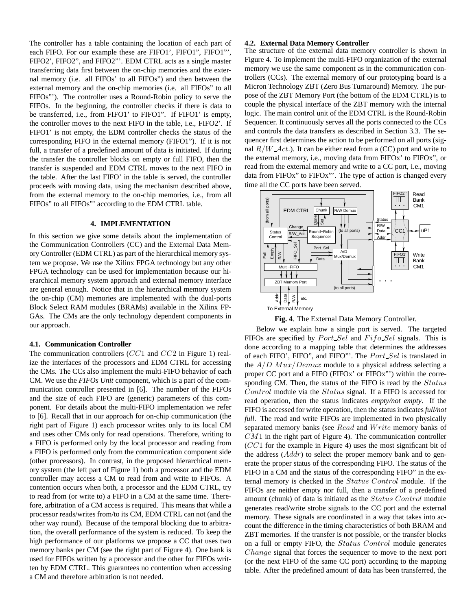The controller has a table containing the location of each part of each FIFO. For our example these are FIFO1', FIFO1", FIFO1"', FIFO2', FIFO2", and FIFO2"'. EDM CTRL acts as a single master transferring data first between the on-chip memories and the external memory (i.e. all FIFOs' to all FIFOs") and then between the external memory and the on-chip memories (i.e. all FIFOs" to all FIFOs"'). The controller uses a Round-Robin policy to serve the FIFOs. In the beginning, the controller checks if there is data to be transferred, i.e., from FIFO1' to FIFO1". If FIFO1' is empty, the controller moves to the next FIFO in the table, i.e., FIFO2'. If FIFO1' is not empty, the EDM controller checks the status of the corresponding FIFO in the external memory (FIFO1"). If it is not full, a transfer of a predefined amount of data is initiated. If during the transfer the controller blocks on empty or full FIFO, then the transfer is suspended and EDM CTRL moves to the next FIFO in the table. After the last FIFO' in the table is served, the controller proceeds with moving data, using the mechanism described above, from the external memory to the on-chip memories, i.e., from all FIFOs" to all FIFOs"' according to the EDM CTRL table.

# **4. IMPLEMENTATION**

In this section we give some details about the implementation of the Communication Controllers (CC) and the External Data Memory Controller (EDM CTRL) as part of the hierarchical memory system we propose. We use the Xilinx FPGA technology but any other FPGA technology can be used for implementation because our hierarchical memory system approach and external memory interface are general enough. Notice that in the hierarchical memory system the on-chip (CM) memories are implemented with the dual-ports Block Select RAM modules (BRAMs) available in the Xilinx FP-GAs. The CMs are the only technology dependent components in our approach.

#### **4.1. Communication Controller**

The communication controllers (CC1 and CC2 in Figure 1) realize the interfaces of the processors and EDM CTRL for accessing the CMs. The CCs also implement the multi-FIFO behavior of each CM. We use the *FIFOs Unit* component, which is a part of the communication controller presented in [6]. The number of the FIFOs and the size of each FIFO are (generic) parameters of this component. For details about the multi-FIFO implementation we refer to [6]. Recall that in our approach for on-chip communication (the right part of Figure 1) each processor writes only to its local CM and uses other CMs only for read operations. Therefore, writing to a FIFO is performed only by the local processor and reading from a FIFO is performed only from the communication component side (other processors). In contrast, in the proposed hierarchical memory system (the left part of Figure 1) both a processor and the EDM controller may access a CM to read from and write to FIFOs. A contention occurs when both, a processor and the EDM CTRL, try to read from (or write to) a FIFO in a CM at the same time. Therefore, arbitration of a CM access is required. This means that while a processor reads/writes from/to its CM, EDM CTRL can not (and the other way round). Because of the temporal blocking due to arbitration, the overall performance of the system is reduced. To keep the high performance of our platforms we propose a CC that uses two memory banks per CM (see the right part of Figure 4). One bank is used for FIFOs written by a processor and the other for FIFOs written by EDM CTRL. This guarantees no contention when accessing a CM and therefore arbitration is not needed.

# **4.2. External Data Memory Controller**

The structure of the external data memory controller is shown in Figure 4. To implement the multi-FIFO organization of the external memory we use the same component as in the communication controllers (CCs). The external memory of our prototyping board is a Micron Technology ZBT (Zero Bus Turnaround) Memory. The purpose of the ZBT Memory Port (the bottom of the EDM CTRL) is to couple the physical interface of the ZBT memory with the internal logic. The main control unit of the EDM CTRL is the Round-Robin Sequencer. It continuously serves all the ports connected to the CCs and controls the data transfers as described in Section 3.3. The sequencer first determines the action to be performed on all ports (signal  $R/W \_2$ . It can be either read from a (CC) port and write to the external memory, i.e., moving data from FIFOx' to FIFOx", or read from the external memory and write to a CC port, i.e., moving data from FIFOx" to FIFOx"'. The type of action is changed every time all the CC ports have been served.



**Fig. 4**. The External Data Memory Controller.

Below we explain how a single port is served. The targeted FIFOs are specified by  $Port\_Sel$  and  $Fif o\_Sel$  signals. This is done according to a mapping table that determines the addresses of each FIFO', FIFO", and FIFO"'. The Port\_Sel is translated in the  $A/D$   $Mux/Demux$  module to a physical address selecting a proper CC port and a FIFO (FIFOx' or FIFOx'') within the corresponding CM. Then, the status of the FIFO is read by the *Status* Control module via the Status signal. If a FIFO is accessed for read operation, then the status indicates *empty/not empty*. If the FIFO is accessed for write operation, then the status indicates *full/not full*. The read and write FIFOs are implemented in two physically separated memory banks (see Read and Write memory banks of  $CM1$  in the right part of Figure 4). The communication controller (CC1 for the example in Figure 4) uses the most significant bit of the address  $(Addr)$  to select the proper memory bank and to generate the proper status of the corresponding FIFO. The status of the FIFO in a CM and the status of the corresponding FIFO" in the external memory is checked in the Status Control module. If the FIFOs are neither empty nor full, then a transfer of a predefined amount (chunk) of data is initiated as the Status Control module generates read/write strobe signals to the CC port and the external memory. These signals are coordinated in a way that takes into account the difference in the timing characteristics of both BRAM and ZBT memories. If the transfer is not possible, or the transfer blocks on a full or empty FIFO, the Status Control module generates Change signal that forces the sequencer to move to the next port (or the next FIFO of the same CC port) according to the mapping table. After the predefined amount of data has been transferred, the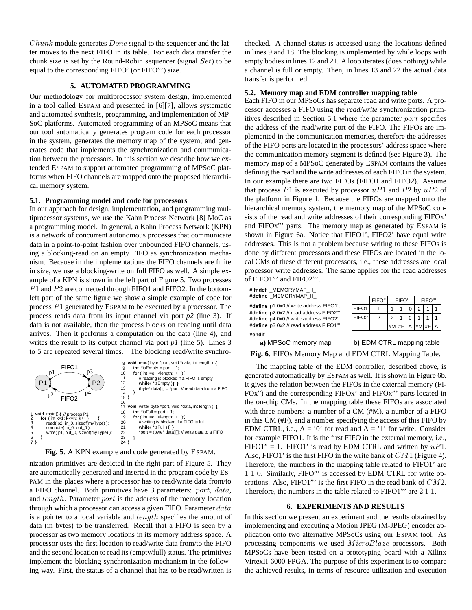$Chunk$  module generates  $Done$  signal to the sequencer and the latter moves to the next FIFO in its table. For each data transfer the chunk size is set by the Round-Robin sequencer (signal  $Set$ ) to be equal to the corresponding FIFO' (or FIFO"') size.

# **5. AUTOMATED PROGRAMMING**

Our methodology for multiprocessor system design, implemented in a tool called ESPAM and presented in [6][7], allows systematic and automated synthesis, programming, and implementation of MP-SoC platforms. Automated programming of an MPSoC means that our tool automatically generates program code for each processor in the system, generates the memory map of the system, and generates code that implements the synchronization and communication between the processors. In this section we describe how we extended ESPAM to support automated programming of MPSoC platforms when FIFO channels are mapped onto the proposed hierarchical memory system.

## **5.1. Programming model and code for processors**

In our approach for design, implementation, and programming multiprocessor systems, we use the Kahn Process Network [8] MoC as a programming model. In general, a Kahn Process Network (KPN) is a network of concurrent autonomous processes that communicate data in a point-to-point fashion over unbounded FIFO channels, using a blocking-read on an empty FIFO as synchronization mechanism. Because in the implementations the FIFO channels are finite in size, we use a blocking-write on full FIFO as well. A simple example of a KPN is shown in the left part of Figure 5. Two processes P1 and P2 are connected through FIFO1 and FIFO2. In the bottomleft part of the same figure we show a simple example of code for process P1 generated by ESPAM to be executed by a processor. The process reads data from its input channel via port *p2* (line 3). If data is not available, then the process blocks on reading until data arrives. Then it performs a computation on the data (line 4), and writes the result to its output channel via port *p1* (line 5). Lines 3 to 5 are repeated several times. The blocking read/write synchro-





nization primitives are depicted in the right part of Figure 5. They are automatically generated and inserted in the program code by ES-PAM in the places where a processor has to read/write data from/to a FIFO channel. Both primitives have 3 parameters: port, data, and length. Parameter port is the address of the memory location through which a processor can access a given FIFO. Parameter  $data$ is a pointer to a local variable and length specifies the amount of data (in bytes) to be transferred. Recall that a FIFO is seen by a processor as two memory locations in its memory address space. A processor uses the first location to read/write data from/to the FIFO and the second location to read its (empty/full) status. The primitives implement the blocking synchronization mechanism in the following way. First, the status of a channel that has to be read/written is checked. A channel status is accessed using the locations defined in lines 9 and 18. The blocking is implemented by while loops with empty bodies in lines 12 and 21. A loop iterates (does nothing) while a channel is full or empty. Then, in lines 13 and 22 the actual data transfer is performed.

## **5.2. Memory map and EDM controller mapping table**

Each FIFO in our MPSoCs has separate read and write ports. A processor accesses a FIFO using the *read/write* synchronization primitives described in Section 5.1 where the parameter port specifies the address of the read/write port of the FIFO. The FIFOs are implemented in the communication memories, therefore the addresses of the FIFO ports are located in the processors' address space where the communication memory segment is defined (see Figure 3). The memory map of a MPSoC generated by ESPAM contains the values defining the read and the write addresses of each FIFO in the system. In our example there are two FIFOs (FIFO1 and FIFO2). Assume that process  $P1$  is executed by processor  $uP1$  and  $P2$  by  $uP2$  of the platform in Figure 1. Because the FIFOs are mapped onto the hierarchical memory system, the memory map of the MPSoC consists of the read and write addresses of their corresponding FIFOx' and FIFOx"' parts. The memory map as generated by ESPAM is shown in Figure 6a. Notice that FIFO1', FIFO2' have equal write addresses. This is not a problem because writing to these FIFOs is done by different processors and these FIFOs are located in the local CMs of these different processors, i.e., these addresses are local processor write addresses. The same applies for the read addresses of FIFO1"' and FIFO2"'.

**#define** \_MEMORYMAP\_H\_ **#ifndef** \_MEMORYMAP\_H\_

**#define** p3 0x2 // read address FIFO1'''; **#define** p4 0x0 // write address FIFO2'; **#define** p2 0x2 // read address FIFO2'''; **#define** p1 0x0 // write address FIFO1'; **#endif**

|                   | FIFO" | FIFO' |  |          | FIFO" |  |                |
|-------------------|-------|-------|--|----------|-------|--|----------------|
| FIFO <sub>1</sub> |       |       |  | 0        | 2     |  |                |
| FIFO <sub>2</sub> | 2     | 2     |  | $\Omega$ |       |  |                |
|                   |       | #M #F |  | Α        | #M #F |  | $\overline{A}$ |

**a)** MPSoC memory map **b)** EDM CTRL mapping table

**Fig. 6**. FIFOs Memory Map and EDM CTRL Mapping Table.

The mapping table of the EDM controller, described above, is generated automatically by ESPAM as well. It is shown in Figure 6b. It gives the relation between the FIFOs in the external memory (FI-FOx") and the corresponding FIFOx' and FIFOx"' parts located in the on-chip CMs. In the mapping table these FIFOs are associated with three numbers: a number of a CM (#M), a number of a FIFO in this CM (#F), and a number specifying the access of this FIFO by EDM CTRL, i.e.,  $A = '0'$  for read and  $A = '1'$  for write. Consider for example FIFO1. It is the first FIFO in the external memory, i.e., FIFO1" = 1. FIFO1' is read by EDM CTRL and written by  $uP1$ . Also, FIFO1' is the first FIFO in the write bank of  $CM1$  (Figure 4). Therefore, the numbers in the mapping table related to FIFO1' are 1 1 0. Similarly, FIFO"' is accessed by EDM CTRL for write operations. Also, FIFO1"' is the first FIFO in the read bank of CM2. Therefore, the numbers in the table related to FIFO1"' are 2 1 1.

#### **6. EXPERIMENTS AND RESULTS**

In this section we present an experiment and the results obtained by implementing and executing a Motion JPEG (M-JPEG) encoder application onto two alternative MPSoCs using our ESPAM tool. As processing components we used MicroBlaze processors. Both MPSoCs have been tested on a prototyping board with a Xilinx VirtexII-6000 FPGA. The purpose of this experiment is to compare the achieved results, in terms of resource utilization and execution